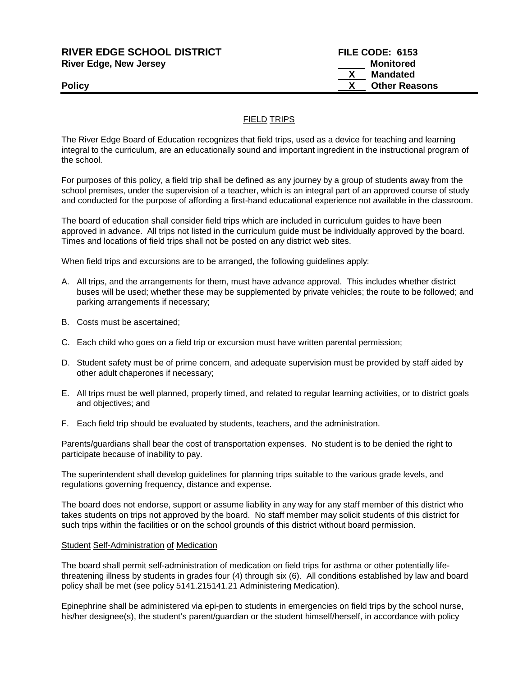| <b>RIVER EDGE SCHOOL DISTRICT</b> | FILE CODE: 6153      |  |
|-----------------------------------|----------------------|--|
| <b>River Edge, New Jersey</b>     | Monitored            |  |
|                                   | <b>Mandated</b>      |  |
| Policy                            | <b>Other Reasons</b> |  |
|                                   |                      |  |

## FIELD TRIPS

The River Edge Board of Education recognizes that field trips, used as a device for teaching and learning integral to the curriculum, are an educationally sound and important ingredient in the instructional program of the school.

For purposes of this policy, a field trip shall be defined as any journey by a group of students away from the school premises, under the supervision of a teacher, which is an integral part of an approved course of study and conducted for the purpose of affording a first-hand educational experience not available in the classroom.

The board of education shall consider field trips which are included in curriculum guides to have been approved in advance. All trips not listed in the curriculum guide must be individually approved by the board. Times and locations of field trips shall not be posted on any district web sites.

When field trips and excursions are to be arranged, the following guidelines apply:

- A. All trips, and the arrangements for them, must have advance approval. This includes whether district buses will be used; whether these may be supplemented by private vehicles; the route to be followed; and parking arrangements if necessary;
- B. Costs must be ascertained;
- C. Each child who goes on a field trip or excursion must have written parental permission;
- D. Student safety must be of prime concern, and adequate supervision must be provided by staff aided by other adult chaperones if necessary;
- E. All trips must be well planned, properly timed, and related to regular learning activities, or to district goals and objectives; and
- F. Each field trip should be evaluated by students, teachers, and the administration.

Parents/guardians shall bear the cost of transportation expenses. No student is to be denied the right to participate because of inability to pay.

The superintendent shall develop guidelines for planning trips suitable to the various grade levels, and regulations governing frequency, distance and expense.

The board does not endorse, support or assume liability in any way for any staff member of this district who takes students on trips not approved by the board. No staff member may solicit students of this district for such trips within the facilities or on the school grounds of this district without board permission.

## Student Self-Administration of Medication

The board shall permit self-administration of medication on field trips for asthma or other potentially lifethreatening illness by students in grades four (4) through six (6). All conditions established by law and board policy shall be met (see policy 5141.215141.21 Administering Medication).

Epinephrine shall be administered via epi-pen to students in emergencies on field trips by the school nurse, his/her designee(s), the student's parent/guardian or the student himself/herself, in accordance with policy